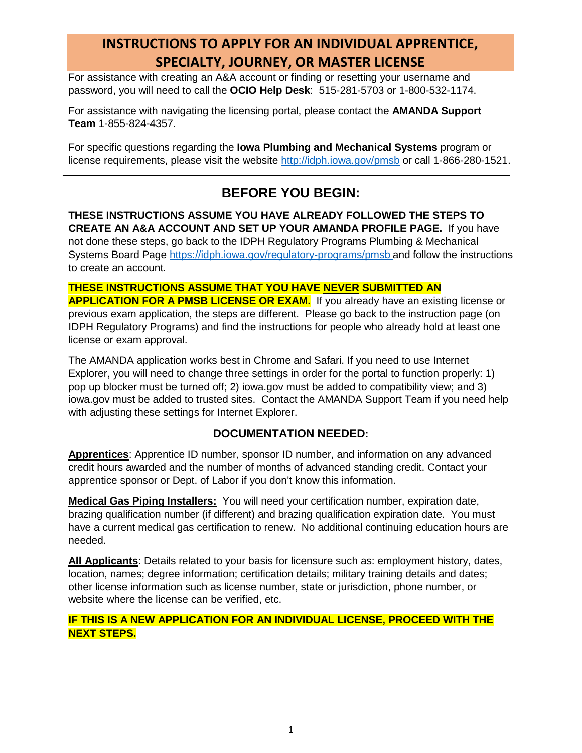# **INSTRUCTIONS TO APPLY FOR AN INDIVIDUAL APPRENTICE, SPECIALTY, JOURNEY, OR MASTER LICENSE**

For assistance with creating an A&A account or finding or resetting your username and password, you will need to call the **OCIO Help Desk**: 515-281-5703 or 1-800-532-1174.

For assistance with navigating the licensing portal, please contact the **AMANDA Support Team** 1-855-824-4357.

For specific questions regarding the **Iowa Plumbing and Mechanical Systems** program or license requirements, please visit the website<http://idph.iowa.gov/pmsb> or call 1-866-280-1521.

## **BEFORE YOU BEGIN:**

**THESE INSTRUCTIONS ASSUME YOU HAVE ALREADY FOLLOWED THE STEPS TO CREATE AN A&A ACCOUNT AND SET UP YOUR AMANDA PROFILE PAGE.** If you have not done these steps, go back to the IDPH Regulatory Programs Plumbing & Mechanical Systems Board Page <https://idph.iowa.gov/regulatory-programs/pmsb> and follow the instructions to create an account.

**THESE INSTRUCTIONS ASSUME THAT YOU HAVE NEVER SUBMITTED AN APPLICATION FOR A PMSB LICENSE OR EXAM.** If you already have an existing license or previous exam application, the steps are different. Please go back to the instruction page (on IDPH Regulatory Programs) and find the instructions for people who already hold at least one license or exam approval.

The AMANDA application works best in Chrome and Safari. If you need to use Internet Explorer, you will need to change three settings in order for the portal to function properly: 1) pop up blocker must be turned off; 2) iowa.gov must be added to compatibility view; and 3) iowa.gov must be added to trusted sites. Contact the AMANDA Support Team if you need help with adjusting these settings for Internet Explorer.

### **DOCUMENTATION NEEDED:**

**Apprentices**: Apprentice ID number, sponsor ID number, and information on any advanced credit hours awarded and the number of months of advanced standing credit. Contact your apprentice sponsor or Dept. of Labor if you don't know this information.

**Medical Gas Piping Installers:** You will need your certification number, expiration date, brazing qualification number (if different) and brazing qualification expiration date. You must have a current medical gas certification to renew. No additional continuing education hours are needed.

**All Applicants**: Details related to your basis for licensure such as: employment history, dates, location, names; degree information; certification details; military training details and dates; other license information such as license number, state or jurisdiction, phone number, or website where the license can be verified, etc.

### **IF THIS IS A NEW APPLICATION FOR AN INDIVIDUAL LICENSE, PROCEED WITH THE NEXT STEPS.**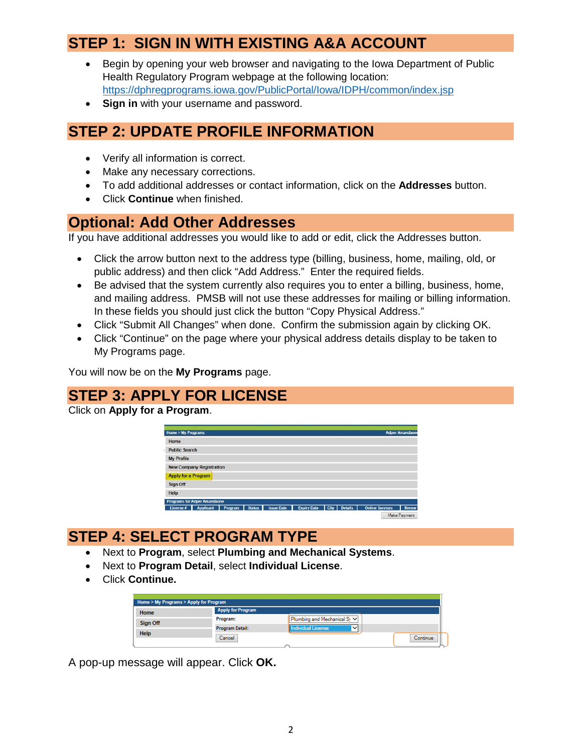# **STEP 1: SIGN IN WITH EXISTING A&A ACCOUNT**

- Begin by opening your web browser and navigating to the Iowa Department of Public Health Regulatory Program webpage at the following location: <https://dphregprograms.iowa.gov/PublicPortal/Iowa/IDPH/common/index.jsp>
- **Sign in** with your username and password.

## **STEP 2: UPDATE PROFILE INFORMATION**

- Verify all information is correct.
- Make any necessary corrections.
- To add additional addresses or contact information, click on the **Addresses** button.
- Click **Continue** when finished.

### **Optional: Add Other Addresses**

If you have additional addresses you would like to add or edit, click the Addresses button.

- Click the arrow button next to the address type (billing, business, home, mailing, old, or public address) and then click "Add Address." Enter the required fields.
- Be advised that the system currently also requires you to enter a billing, business, home, and mailing address. PMSB will not use these addresses for mailing or billing information. In these fields you should just click the button "Copy Physical Address."
- Click "Submit All Changes" when done. Confirm the submission again by clicking OK.
- Click "Continue" on the page where your physical address details display to be taken to My Programs page.

You will now be on the **My Programs** page.

# **STEP 3: APPLY FOR LICENSE**

Click on **Apply for a Program**.

| Home > My Programs   |                                     |                |                   |                                 |  |                        | <b>Adper Amandaone</b> |
|----------------------|-------------------------------------|----------------|-------------------|---------------------------------|--|------------------------|------------------------|
| Home                 |                                     |                |                   |                                 |  |                        |                        |
| <b>Public Search</b> |                                     |                |                   |                                 |  |                        |                        |
| <b>My Profile</b>    |                                     |                |                   |                                 |  |                        |                        |
|                      | <b>New Company Registration</b>     |                |                   |                                 |  |                        |                        |
| Apply for a Program  |                                     |                |                   |                                 |  |                        |                        |
| Sign Off             |                                     |                |                   |                                 |  |                        |                        |
| Help                 |                                     |                |                   |                                 |  |                        |                        |
|                      | <b>Programs for Adper Amandaone</b> |                |                   |                                 |  |                        |                        |
| License #            | Applicant                           | Program Status | <b>Issue Date</b> | <b>Expiry Date</b> City Details |  | <b>Online Services</b> | Renew<br>٠             |

# **STEP 4: SELECT PROGRAM TYPE**

- Next to **Program**, select **Plumbing and Mechanical Systems**.
- Next to **Program Detail**, select **Individual License**.
- Click **Continue.**

|             | Home > My Programs > Apply for Program |                                          |          |
|-------------|----------------------------------------|------------------------------------------|----------|
| Home        | <b>Apply for Program</b>               |                                          |          |
| Sign Off    | Program:                               | Plumbing and Mechanical S <sub>1</sub> V |          |
|             | <b>Program Detail:</b>                 | ndividual License<br>v                   |          |
| <b>Help</b> | Cancel                                 |                                          | Continue |

A pop-up message will appear. Click **OK.**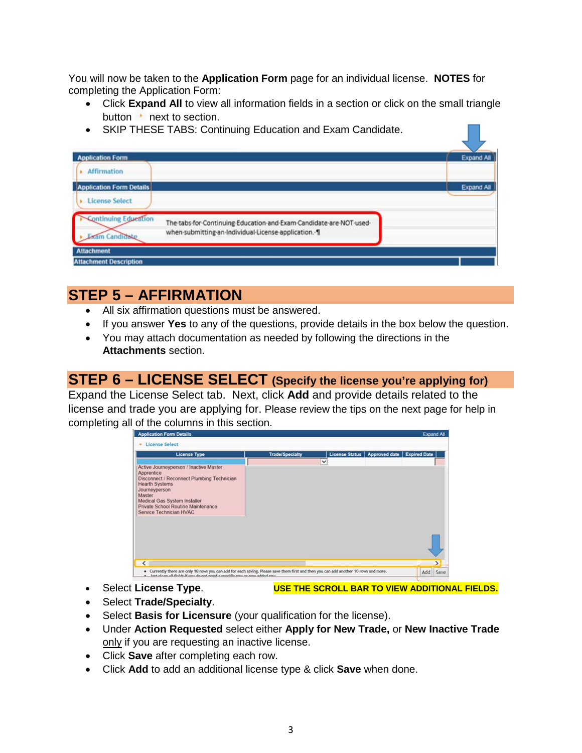You will now be taken to the **Application Form** page for an individual license. **NOTES** for completing the Application Form:

- Click **Expand All** to view all information fields in a section or click on the small triangle button  $\cdot$  next to section.
- SKIP THESE TABS: Continuing Education and Exam Candidate.

| <b>Application Form</b><br><b>Affirmation</b> |                                                                                                                            | <b>Expand All</b> |
|-----------------------------------------------|----------------------------------------------------------------------------------------------------------------------------|-------------------|
| <b>Application Form Details</b>               |                                                                                                                            | <b>Expand All</b> |
| <b>License Select</b>                         |                                                                                                                            |                   |
| ontinuing Education<br>am Cand                | The tabs for Continuing Education and Exam Candidate are NOT used-<br>when submitting an Individual License application. 1 |                   |
| <b>Attachment</b>                             |                                                                                                                            |                   |

# **STEP 5 – AFFIRMATION**

- All six affirmation questions must be answered.
- If you answer **Yes** to any of the questions, provide details in the box below the question.
- You may attach documentation as needed by following the directions in the **Attachments** section.

# **STEP 6 – LICENSE SELECT (Specify the license you're applying for)**

Expand the License Select tab. Next, click **Add** and provide details related to the license and trade you are applying for. Please review the tips on the next page for help in completing all of the columns in this section.



- 
- Select **License Type**. **USE THE SCROLL BAR TO VIEW ADDITIONAL FIELDS.**
- Select **Trade/Specialty**.
- Select **Basis for Licensure** (your qualification for the license).
- Under **Action Requested** select either **Apply for New Trade,** or **New Inactive Trade** only if you are requesting an inactive license.
- Click **Save** after completing each row.
- Click **Add** to add an additional license type & click **Save** when done.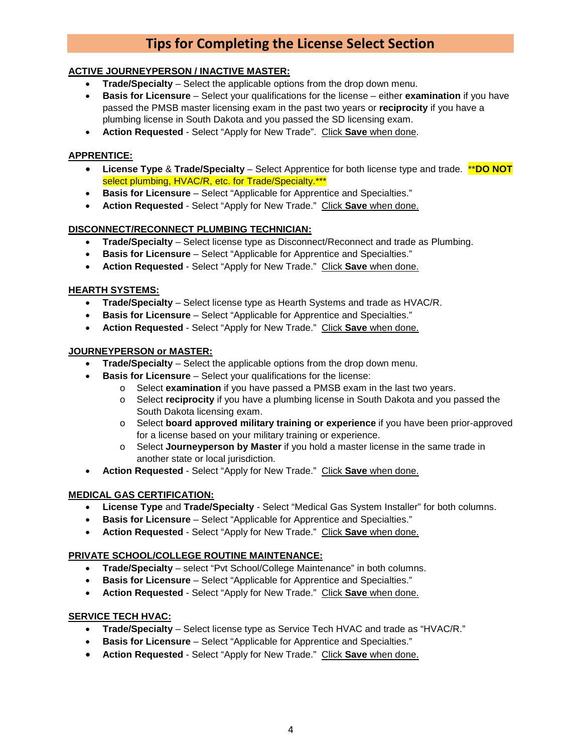# **Tips for Completing the License Select Section**

#### **ACTIVE JOURNEYPERSON / INACTIVE MASTER:**

- **Trade/Specialty** Select the applicable options from the drop down menu.
- **Basis for Licensure** Select your qualifications for the license either **examination** if you have passed the PMSB master licensing exam in the past two years or **reciprocity** if you have a plumbing license in South Dakota and you passed the SD licensing exam.
- **Action Requested** Select "Apply for New Trade". Click **Save** when done.

#### **APPRENTICE:**

- **License Type** & **Trade/Specialty** Select Apprentice for both license type and trade. \*\***DO NOT**  select plumbing, HVAC/R, etc. for Trade/Specialty.\*\*\*
- **Basis for Licensure** Select "Applicable for Apprentice and Specialties."
- **Action Requested** Select "Apply for New Trade." Click **Save** when done.

#### **DISCONNECT/RECONNECT PLUMBING TECHNICIAN:**

- **Trade/Specialty** Select license type as Disconnect/Reconnect and trade as Plumbing.
- **Basis for Licensure** Select "Applicable for Apprentice and Specialties."
- **Action Requested** Select "Apply for New Trade." Click **Save** when done.

#### **HEARTH SYSTEMS:**

- **Trade/Specialty** Select license type as Hearth Systems and trade as HVAC/R.
- **Basis for Licensure** Select "Applicable for Apprentice and Specialties."
- **Action Requested** Select "Apply for New Trade." Click **Save** when done.

#### **JOURNEYPERSON or MASTER:**

- **Trade/Specialty** Select the applicable options from the drop down menu.
- **Basis for Licensure** Select your qualifications for the license:
	- o Select **examination** if you have passed a PMSB exam in the last two years.
	- o Select **reciprocity** if you have a plumbing license in South Dakota and you passed the South Dakota licensing exam.
	- o Select **board approved military training or experience** if you have been prior-approved for a license based on your military training or experience.
	- o Select **Journeyperson by Master** if you hold a master license in the same trade in another state or local jurisdiction.
- **Action Requested** Select "Apply for New Trade." Click **Save** when done.

#### **MEDICAL GAS CERTIFICATION:**

- **License Type** and **Trade/Specialty** Select "Medical Gas System Installer" for both columns.
- **Basis for Licensure** Select "Applicable for Apprentice and Specialties."
- **Action Requested** Select "Apply for New Trade." Click **Save** when done.

#### **PRIVATE SCHOOL/COLLEGE ROUTINE MAINTENANCE:**

- **Trade/Specialty** select "Pvt School/College Maintenance" in both columns.
- **Basis for Licensure** Select "Applicable for Apprentice and Specialties."
- **Action Requested** Select "Apply for New Trade." Click **Save** when done.

#### **SERVICE TECH HVAC:**

- **Trade/Specialty** Select license type as Service Tech HVAC and trade as "HVAC/R."
- **Basis for Licensure** Select "Applicable for Apprentice and Specialties."
- **Action Requested** Select "Apply for New Trade." Click **Save** when done.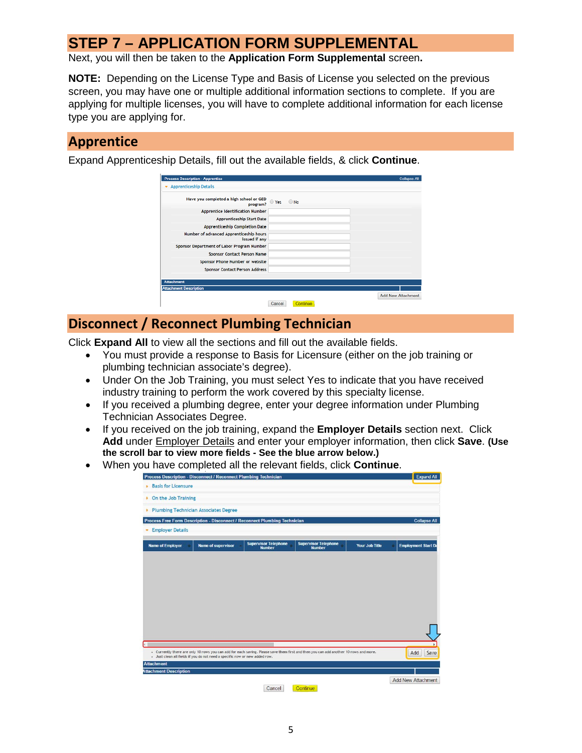# **STEP 7 – APPLICATION FORM SUPPLEMENTAL**

Next, you will then be taken to the **Application Form Supplemental** screen**.**

**NOTE:** Depending on the License Type and Basis of License you selected on the previous screen, you may have one or multiple additional information sections to complete. If you are applying for multiple licenses, you will have to complete additional information for each license type you are applying for.

### **Apprentice**

Expand Apprenticeship Details, fill out the available fields, & click **Continue**.

| Have you completed a high school or GED<br>program?      | ● Yes<br>$•$ No |  |
|----------------------------------------------------------|-----------------|--|
| <b>Apprentice Identification Number</b>                  |                 |  |
| <b>Apprenticeship Start Date</b>                         |                 |  |
| <b>Apprenticeship Completion Date</b>                    |                 |  |
| Number of advanced Apprenticeship hours<br>issued if any |                 |  |
| Sponsor Department of Labor Program Number               |                 |  |
| <b>Sponsor Contact Person Name</b>                       |                 |  |
| Sponsor Phone Number or website                          |                 |  |
| <b>Sponsor Contact Person Address</b>                    |                 |  |
| <b>Attachment</b>                                        |                 |  |

### **Disconnect / Reconnect Plumbing Technician**

Click **Expand All** to view all the sections and fill out the available fields.

- You must provide a response to Basis for Licensure (either on the job training or plumbing technician associate's degree).
- Under On the Job Training, you must select Yes to indicate that you have received industry training to perform the work covered by this specialty license.
- If you received a plumbing degree, enter your degree information under Plumbing Technician Associates Degree.
- If you received on the job training, expand the **Employer Details** section next. Click **Add** under Employer Details and enter your employer information, then click **Save**. **(Use the scroll bar to view more fields - See the blue arrow below.)**
- When you have completed all the relevant fields, click **Continue**.

| <b>Basis for Licensure</b><br>On the Job Training<br><b>Plumbing Technician Associates Degree</b><br>Process Free Form Description - Disconnect / Reconnect Plumbing Technician |                           |                                              |                                                                                                                                       |                       |                            |
|---------------------------------------------------------------------------------------------------------------------------------------------------------------------------------|---------------------------|----------------------------------------------|---------------------------------------------------------------------------------------------------------------------------------------|-----------------------|----------------------------|
|                                                                                                                                                                                 |                           |                                              |                                                                                                                                       |                       |                            |
|                                                                                                                                                                                 |                           |                                              |                                                                                                                                       |                       |                            |
|                                                                                                                                                                                 |                           |                                              |                                                                                                                                       |                       |                            |
|                                                                                                                                                                                 |                           |                                              |                                                                                                                                       |                       | <b>Collapse All</b>        |
| <b>Employer Details</b>                                                                                                                                                         |                           |                                              |                                                                                                                                       |                       |                            |
| <b>Name of Employer</b>                                                                                                                                                         | <b>Name of supervisor</b> | <b>Supervisor Telephone</b><br><b>Number</b> | <b>Supervisor Telephone</b><br><b>Number</b>                                                                                          | <b>Your Job Title</b> | <b>Employment Start De</b> |
|                                                                                                                                                                                 |                           |                                              |                                                                                                                                       |                       |                            |
|                                                                                                                                                                                 |                           |                                              |                                                                                                                                       |                       |                            |
|                                                                                                                                                                                 |                           |                                              |                                                                                                                                       |                       |                            |
|                                                                                                                                                                                 |                           |                                              |                                                                                                                                       |                       |                            |
|                                                                                                                                                                                 |                           |                                              |                                                                                                                                       |                       |                            |
|                                                                                                                                                                                 |                           |                                              |                                                                                                                                       |                       |                            |
|                                                                                                                                                                                 |                           |                                              |                                                                                                                                       |                       |                            |
|                                                                                                                                                                                 |                           |                                              |                                                                                                                                       |                       |                            |
|                                                                                                                                                                                 |                           |                                              |                                                                                                                                       |                       |                            |
|                                                                                                                                                                                 |                           |                                              |                                                                                                                                       |                       |                            |
|                                                                                                                                                                                 |                           |                                              |                                                                                                                                       |                       |                            |
|                                                                                                                                                                                 |                           |                                              |                                                                                                                                       |                       |                            |
|                                                                                                                                                                                 |                           |                                              |                                                                                                                                       |                       |                            |
|                                                                                                                                                                                 |                           |                                              |                                                                                                                                       |                       |                            |
|                                                                                                                                                                                 |                           |                                              |                                                                                                                                       |                       |                            |
|                                                                                                                                                                                 |                           |                                              |                                                                                                                                       |                       |                            |
|                                                                                                                                                                                 |                           |                                              |                                                                                                                                       |                       |                            |
|                                                                                                                                                                                 |                           |                                              |                                                                                                                                       |                       |                            |
|                                                                                                                                                                                 |                           |                                              | - Currently there are only 10 rows you can add for each saving. Please save them first and then you can add another 10 rows and more. |                       | Add                        |
|                                                                                                                                                                                 |                           |                                              |                                                                                                                                       |                       |                            |
|                                                                                                                                                                                 |                           |                                              |                                                                                                                                       |                       |                            |
| - Just clean all fields if you do not need a specific row or new added row.<br><b>Attachment</b><br><b>Attachment Description</b>                                               |                           |                                              |                                                                                                                                       |                       | Save                       |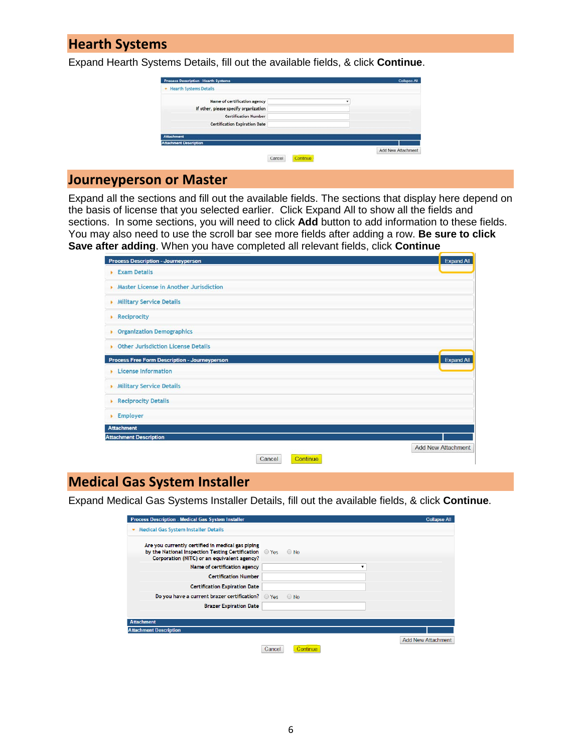### **Hearth Systems**

Expand Hearth Systems Details, fill out the available fields, & click **Continue**.

| Add New Attachment |
|--------------------|
| ٠                  |

### **Journeyperson or Master**

Expand all the sections and fill out the available fields. The sections that display here depend on the basis of license that you selected earlier. Click Expand All to show all the fields and sections. In some sections, you will need to click **Add** button to add information to these fields. You may also need to use the scroll bar see more fields after adding a row. **Be sure to click Save after adding**. When you have completed all relevant fields, click **Continue**

| <b>Process Description - Journeyperson</b>           |                    | <b>Expand All</b>         |
|------------------------------------------------------|--------------------|---------------------------|
| <b>Exam Details</b><br>٠                             |                    |                           |
| Master License in Another Jurisdiction<br>×          |                    |                           |
| <b>Military Service Details</b><br>×                 |                    |                           |
| Reciprocity                                          |                    |                           |
| <b>Organization Demographics</b><br>×                |                    |                           |
| <b>Other Jurisdiction License Details</b>            |                    |                           |
| <b>Process Free Form Description - Journeyperson</b> |                    | <b>Expand All</b>         |
| <b>License Information</b><br>x                      |                    |                           |
| <b>Military Service Details</b><br>٠                 |                    |                           |
| <b>Reciprocity Details</b><br>٠                      |                    |                           |
| Employer                                             |                    |                           |
| <b>Attachment</b>                                    |                    |                           |
| <b>Attachment Description</b>                        |                    |                           |
|                                                      |                    | <b>Add New Attachment</b> |
|                                                      | Continue<br>Cancel |                           |

## **Medical Gas System Installer**

Expand Medical Gas Systems Installer Details, fill out the available fields, & click **Continue**.

| Process Description - Medical Gas System Installer                                                                                                              |                    | <b>Collapse All</b> |
|-----------------------------------------------------------------------------------------------------------------------------------------------------------------|--------------------|---------------------|
| <b>Medical Gas System Installer Details</b><br>۰                                                                                                                |                    |                     |
| Are you currently certified in medical gas piping<br>by the National Inspection Testing Certification O Yes O No<br>Corporation (NITC) or an equivalent agency? |                    |                     |
| Name of certification agency                                                                                                                                    | $\mathbf{v}$       |                     |
| <b>Certification Number</b>                                                                                                                                     |                    |                     |
| <b>Certification Expiration Date</b>                                                                                                                            |                    |                     |
| Do you have a current brazer certification? $\bigcirc$ Yes                                                                                                      | $\circ$ No         |                     |
| <b>Brazer Expiration Date</b>                                                                                                                                   |                    |                     |
|                                                                                                                                                                 |                    |                     |
| <b>Attachment</b>                                                                                                                                               |                    |                     |
| <b>Attachment Description</b>                                                                                                                                   |                    |                     |
|                                                                                                                                                                 |                    | Add New Attachment  |
|                                                                                                                                                                 | Continue<br>Cancel |                     |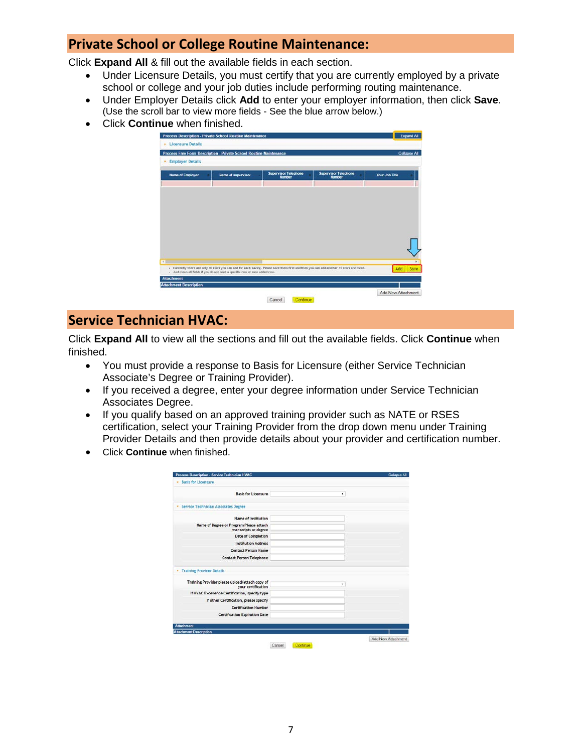### **Private School or College Routine Maintenance:**

Click **Expand All** & fill out the available fields in each section.

- Under Licensure Details, you must certify that you are currently employed by a private school or college and your job duties include performing routing maintenance.
- Under Employer Details click **Add** to enter your employer information, then click **Save**. (Use the scroll bar to view more fields - See the blue arrow below.)
- Click **Continue** when finished.

| <b>Employer Details</b><br><b>Supervisor Telephone</b><br><b>Name of Employer</b><br><b>Name of supervisor</b>                                                                                                       |                                              |                |
|----------------------------------------------------------------------------------------------------------------------------------------------------------------------------------------------------------------------|----------------------------------------------|----------------|
| <b>Number</b>                                                                                                                                                                                                        | <b>Supervisor Telephone</b><br><b>Number</b> | Your Job Title |
|                                                                                                                                                                                                                      |                                              |                |
|                                                                                                                                                                                                                      |                                              |                |
|                                                                                                                                                                                                                      |                                              |                |
|                                                                                                                                                                                                                      |                                              |                |
|                                                                                                                                                                                                                      |                                              |                |
|                                                                                                                                                                                                                      |                                              |                |
|                                                                                                                                                                                                                      |                                              |                |
|                                                                                                                                                                                                                      |                                              |                |
|                                                                                                                                                                                                                      |                                              |                |
| - Currently there are only 10 rows you can add for each saving. Please save them first and then you can add another 10 rows and more.<br>- Just clean all fields if you do not need a specific row or new added row. |                                              | Add<br>Save    |

### **Service Technician HVAC:**

Click **Expand All** to view all the sections and fill out the available fields. Click **Continue** when finished.

- You must provide a response to Basis for Licensure (either Service Technician Associate's Degree or Training Provider).
- If you received a degree, enter your degree information under Service Technician Associates Degree.
- If you qualify based on an approved training provider such as NATE or RSES certification, select your Training Provider from the drop down menu under Training Provider Details and then provide details about your provider and certification number.
- Click **Continue** when finished.

| Process Description - Service Technician HVAC                        | Collapse All |
|----------------------------------------------------------------------|--------------|
| <b>Basis for Licensure</b><br>٠                                      |              |
| <b>Basis for Licensure</b>                                           | ۰            |
| · Service Technician Associates Degree                               |              |
| <b>Name of Institution</b>                                           |              |
| Name of Degree or Program Please attach<br>transcripts or degree     |              |
| <b>Date of Completion</b>                                            |              |
| <b>Institution Address</b>                                           |              |
| <b>Contact Person Name</b>                                           |              |
| <b>Contact Person Telephone</b>                                      |              |
| * Training Provider Details                                          |              |
| Training Provider please upload/attach copy of<br>vour certification | ٠            |
| If HVAC Excellence Certification, specify type                       |              |
| If other Certification, please specify                               |              |
| <b>Certification Number</b>                                          |              |
| Certification Expiration Date                                        |              |
| <b>Attachment</b>                                                    |              |
| <b>Attachment Description</b>                                        |              |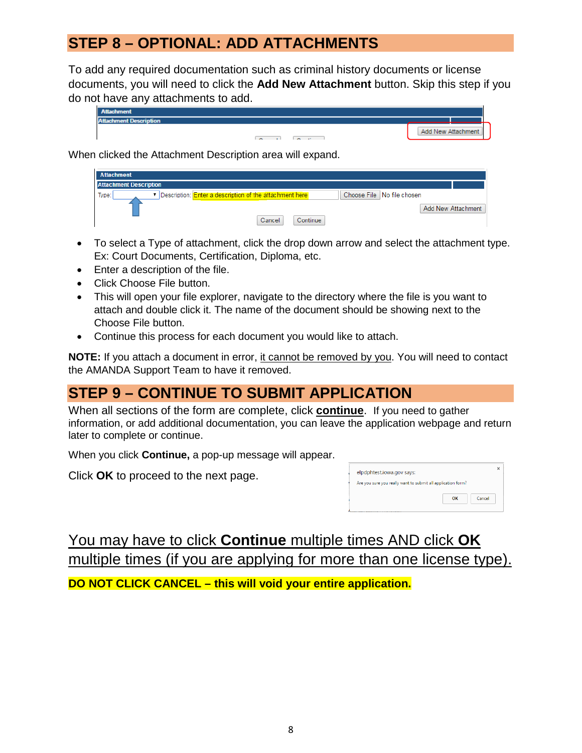# **STEP 8 – OPTIONAL: ADD ATTACHMENTS**

To add any required documentation such as criminal history documents or license documents, you will need to click the **Add New Attachment** button. Skip this step if you do not have any attachments to add.

| <b>Attachment</b>             |                                |                    |
|-------------------------------|--------------------------------|--------------------|
| <b>Attachment Description</b> |                                |                    |
|                               | ×.<br>$\overline{\phantom{a}}$ | Add New Attachment |

When clicked the Attachment Description area will expand.

| <b>Attachment</b>                                                       |                    |                            |                    |
|-------------------------------------------------------------------------|--------------------|----------------------------|--------------------|
| <b>Attachment Description</b>                                           |                    |                            |                    |
| Description: <b>Enter a description of the attachment here</b><br>Type: | Cancel<br>Continue | Choose File No file chosen | Add New Attachment |

- To select a Type of attachment, click the drop down arrow and select the attachment type. Ex: Court Documents, Certification, Diploma, etc.
- Enter a description of the file.
- Click Choose File button.
- This will open your file explorer, navigate to the directory where the file is you want to attach and double click it. The name of the document should be showing next to the Choose File button.
- Continue this process for each document you would like to attach.

**NOTE:** If you attach a document in error, it cannot be removed by you. You will need to contact the AMANDA Support Team to have it removed.

# **STEP 9 – CONTINUE TO SUBMIT APPLICATION**

When all sections of the form are complete, click **continue**.If you need to gather information, or add additional documentation, you can leave the application webpage and return later to complete or continue.

When you click **Continue,** a pop-up message will appear.

Click **OK** to proceed to the next page.

| elpdphtest.iowa.gov says:                                    |    |        |
|--------------------------------------------------------------|----|--------|
| Are you sure you really want to submit all application form? |    |        |
|                                                              | OK | Cancel |

You may have to click **Continue** multiple times AND click **OK** multiple times (if you are applying for more than one license type). **DO NOT CLICK CANCEL – this will void your entire application.**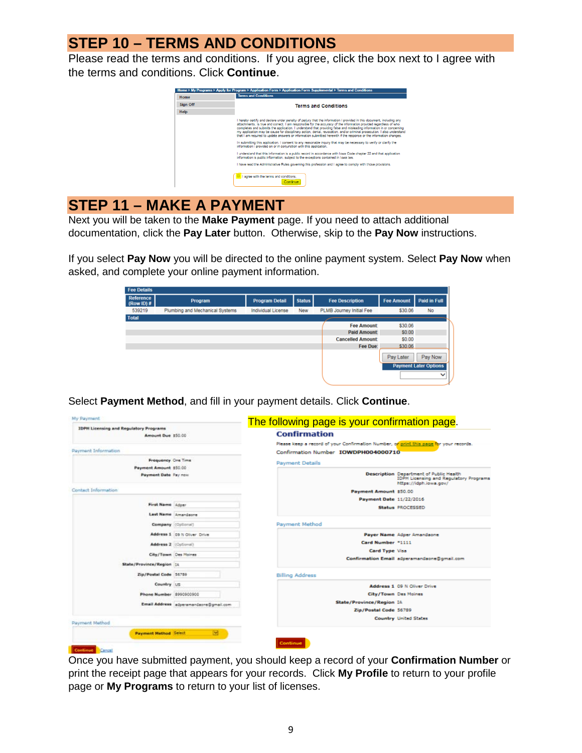# **STEP 10 – TERMS AND CONDITIONS**

Please read the terms and conditions. If you agree, click the box next to I agree with the terms and conditions. Click **Continue**.



## **STEP 11 – MAKE A PAYMENT**

Next you will be taken to the **Make Payment** page. If you need to attach additional documentation, click the **Pay Later** button. Otherwise, skip to the **Pay Now** instructions.

If you select **Pay Now** you will be directed to the online payment system. Select **Pay Now** when asked, and complete your online payment information.

| <b>Fee Details</b>               |                                 |                       |               |                          |                   |                              |
|----------------------------------|---------------------------------|-----------------------|---------------|--------------------------|-------------------|------------------------------|
| <b>Reference</b><br>$(Row ID)$ # | Program                         | <b>Program Detail</b> | <b>Status</b> | <b>Fee Description</b>   | <b>Fee Amount</b> | <b>Paid in Full</b>          |
| 539219                           | Plumbing and Mechanical Systems | Individual License    | New           | PLMB Journey Initial Fee | \$30.06           | No                           |
| <b>Total</b>                     |                                 |                       |               |                          |                   |                              |
|                                  |                                 |                       |               | <b>Fee Amount:</b>       | \$30.06           |                              |
|                                  |                                 |                       |               | <b>Paid Amount:</b>      | \$0.00            |                              |
|                                  |                                 |                       |               | <b>Cancelled Amount:</b> | \$0.00            |                              |
|                                  |                                 |                       |               | Fee Due:                 | \$30.06           |                              |
|                                  |                                 |                       |               |                          | Pay Later         | Pay Now                      |
|                                  |                                 |                       |               |                          |                   | <b>Payment Later Options</b> |
|                                  |                                 |                       |               |                          |                   | $\checkmark$                 |

Select **Payment Method**, and fill in your payment details. Click **Continue**.

| <b>IDPH Licensing and Regulatory Programs</b> |                                        | The following page is your confirmation page.<br><b>Confirmation</b>                                                                         |                                                                                                                    |
|-----------------------------------------------|----------------------------------------|----------------------------------------------------------------------------------------------------------------------------------------------|--------------------------------------------------------------------------------------------------------------------|
| Amount Due 150.00                             |                                        |                                                                                                                                              |                                                                                                                    |
| Payment Information                           |                                        | Please keep a record of your Confirmation Number, o <mark>f print this page fo</mark> r your records.<br>Confirmation Number IOWDPH004000710 |                                                                                                                    |
| Frequency One Time                            |                                        | <b>Payment Details</b>                                                                                                                       |                                                                                                                    |
| Payment Amount \$50.00                        |                                        |                                                                                                                                              |                                                                                                                    |
| Payment Date Pay now                          |                                        |                                                                                                                                              | Description Department of Public Health<br><b>IDPH Licensing and Regulatory Programs</b><br>https://idph.iowa.gov/ |
| Contact Information                           |                                        | Payment Amount \$50.00                                                                                                                       |                                                                                                                    |
|                                               |                                        | Payment Date 11/22/2016                                                                                                                      |                                                                                                                    |
| First Name   Adper                            |                                        |                                                                                                                                              | Status PROCESSED                                                                                                   |
|                                               | Last Name Amendence                    |                                                                                                                                              |                                                                                                                    |
| Company (Optional)                            |                                        | Payment Method                                                                                                                               |                                                                                                                    |
|                                               | Address 1 09 N Gliver Drive            |                                                                                                                                              | Payer Name Adper Amandaone                                                                                         |
| Address 2 (Optional)                          |                                        | Card Number *1111                                                                                                                            |                                                                                                                    |
| City/Town Des Moines                          |                                        | Card Type Visa                                                                                                                               |                                                                                                                    |
| State/Province/Region 14                      |                                        |                                                                                                                                              | Confirmation Email adperamandaone@gmail.com                                                                        |
| Zip/Postal Code 56759                         |                                        | <b>Billing Address</b>                                                                                                                       |                                                                                                                    |
| Country US                                    |                                        |                                                                                                                                              | Address 1 09 N Oliver Drive                                                                                        |
| Phone Number 8990900900                       |                                        | City/Town Des Moines                                                                                                                         |                                                                                                                    |
|                                               | Email Address adperamandaone@gmail.com | State/Province/Region IA                                                                                                                     |                                                                                                                    |
|                                               |                                        | Zip/Postal Code 56789                                                                                                                        |                                                                                                                    |
| Payment Method                                |                                        |                                                                                                                                              | <b>Country United States</b>                                                                                       |
| <b>Payment Hethod Select</b>                  | ø                                      |                                                                                                                                              |                                                                                                                    |
|                                               |                                        | Continue                                                                                                                                     |                                                                                                                    |

Once you have submitted payment, you should keep a record of your **Confirmation Number** or print the receipt page that appears for your records. Click **My Profile** to return to your profile page or **My Programs** to return to your list of licenses.